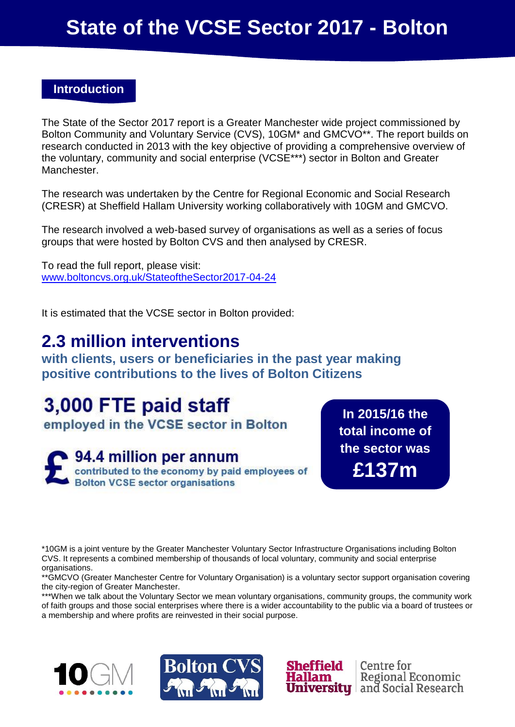# **State of the VCSE Sector 2017 - Bolton**

### **Introduction**

The State of the Sector 2017 report is a Greater Manchester wide project commissioned by Bolton Community and Voluntary Service (CVS), 10GM\* and GMCVO\*\*. The report builds on research conducted in 2013 with the key objective of providing a comprehensive overview of the voluntary, community and social enterprise (VCSE\*\*\*) sector in Bolton and Greater Manchester.

The research was undertaken by the Centre for Regional Economic and Social Research (CRESR) at Sheffield Hallam University working collaboratively with 10GM and GMCVO.

The research involved a web-based survey of organisations as well as a series of focus groups that were hosted by Bolton CVS and then analysed by CRESR.

To read the full report, please visit: [www.boltoncvs.org.uk/StateoftheSector2017-04-24](http://www.boltoncvs.org.uk/StateoftheSector2017-04-24)

It is estimated that the VCSE sector in Bolton provided:

## **2.3 million interventions**

**with clients, users or beneficiaries in the past year making positive contributions to the lives of Bolton Citizens**

## 3,000 FTE paid staff

employed in the VCSE sector in Bolton

94.4 million per annum contributed to the economy by paid employees of **Bolton VCSE sector organisations** 

**In 2015/16 the total income of the sector was £137m**

Centre for

**University** and Social Research

**Regional Economic** 

\*10GM is a joint venture by the Greater Manchester Voluntary Sector Infrastructure Organisations including Bolton CVS. It represents a combined membership of thousands of local voluntary, community and social enterprise organisations.

\*\*GMCVO (Greater Manchester Centre for Voluntary Organisation) is a voluntary sector support organisation covering the city-region of Greater Manchester.

\*\*\*When we talk about the Voluntary Sector we mean voluntary organisations, community groups, the community work of faith groups and those social enterprises where there is a wider accountability to the public via a board of trustees or a membership and where profits are reinvested in their social purpose.

**Sheffield** 

Hallam



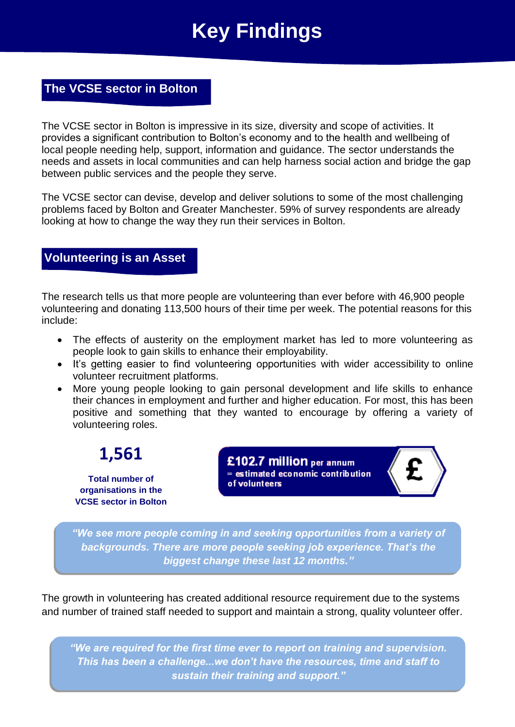# **Key Findings**

### **The VCSE sector in Bolton**

The VCSE sector in Bolton is impressive in its size, diversity and scope of activities. It provides a significant contribution to Bolton's economy and to the health and wellbeing of local people needing help, support, information and guidance. The sector understands the needs and assets in local communities and can help harness social action and bridge the gap between public services and the people they serve.

The VCSE sector can devise, develop and deliver solutions to some of the most challenging problems faced by Bolton and Greater Manchester. 59% of survey respondents are already looking at how to change the way they run their services in Bolton.

#### **Volunteering is an Asset**

The research tells us that more people are volunteering than ever before with 46,900 people volunteering and donating 113,500 hours of their time per week. The potential reasons for this include:

- The effects of austerity on the employment market has led to more volunteering as people look to gain skills to enhance their employability.
- It's getting easier to find volunteering opportunities with wider accessibility to online volunteer recruitment platforms.
- More young people looking to gain personal development and life skills to enhance their chances in employment and further and higher education. For most, this has been positive and something that they wanted to encourage by offering a variety of volunteering roles.



£102.7 million per annum  $=$  estimated economic contribution of volunteers



*"We see more people coming in and seeking opportunities from a variety of backgrounds. There are more people seeking job experience. That's the biggest change these last 12 months."*

The growth in volunteering has created additional resource requirement due to the systems and number of trained staff needed to support and maintain a strong, quality volunteer offer.

*"We are required for the first time ever to report on training and supervision. This has been a challenge...we don't have the resources, time and staff to sustain their training and support."*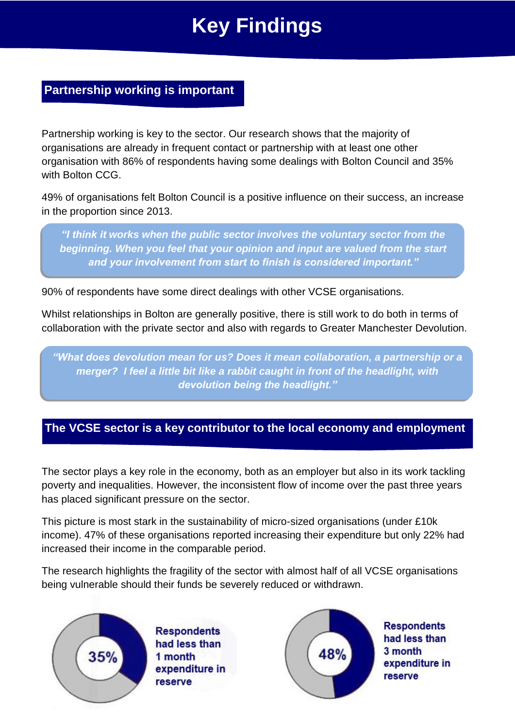# **Key Findings**

## **Partnership working is important**

Partnership working is key to the sector. Our research shows that the majority of organisations are already in frequent contact or partnership with at least one other organisation with 86% of respondents having some dealings with Bolton Council and 35% with Bolton CCG.

49% of organisations felt Bolton Council is a positive influence on their success, an increase in the proportion since 2013.

*"I think it works when the public sector involves the voluntary sector from the beginning. When you feel that your opinion and input are valued from the start and your involvement from start to finish is considered important."*

90% of respondents have some direct dealings with other VCSE organisations.

Whilst relationships in Bolton are generally positive, there is still work to do both in terms of collaboration with the private sector and also with regards to Greater Manchester Devolution.

*"What does devolution mean for us? Does it mean collaboration, a partnership or a merger? I feel a little bit like a rabbit caught in front of the headlight, with devolution being the headlight."*

### **The VCSE sector is a key contributor to the local economy and employment**

The sector plays a key role in the economy, both as an employer but also in its work tackling poverty and inequalities. However, the inconsistent flow of income over the past three years has placed significant pressure on the sector.

This picture is most stark in the sustainability of micro-sized organisations (under £10k income). 47% of these organisations reported increasing their expenditure but only 22% had increased their income in the comparable period.

The research highlights the fragility of the sector with almost half of all VCSE organisations being vulnerable should their funds be severely reduced or withdrawn.



**Respondents** had less than 1 month expenditure in reserve



**Respondents** had less than expenditure in